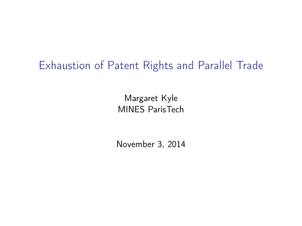### Exhaustion of Patent Rights and Parallel Trade

Margaret Kyle MINES ParisTech

<span id="page-0-0"></span>November 3, 2014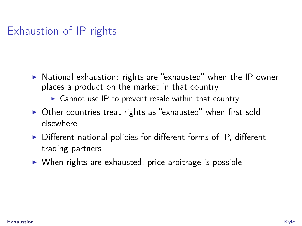# Exhaustion of IP rights

- $\triangleright$  National exhaustion: rights are "exhausted" when the IP owner places a product on the market in that country
	- $\triangleright$  Cannot use IP to prevent resale within that country
- $\triangleright$  Other countries treat rights as "exhausted" when first sold elsewhere
- $\triangleright$  Different national policies for different forms of IP, different trading partners
- $\triangleright$  When rights are exhausted, price arbitrage is possible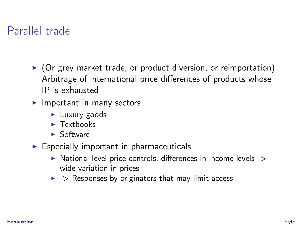#### Parallel trade

- $\triangleright$  (Or grey market trade, or product diversion, or reimportation) Arbitrage of international price differences of products whose IP is exhausted
- $\blacktriangleright$  Important in many sectors
	- $\blacktriangleright$  Luxury goods
	- $\blacktriangleright$  Textbooks
	- $\blacktriangleright$  Software
- $\triangleright$  Especially important in pharmaceuticals
	- $\triangleright$  National-level price controls, differences in income levels - $\triangleright$ wide variation in prices
	- $\triangleright$  -> Responses by originators that may limit access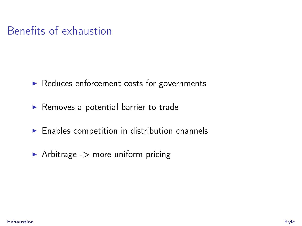### Benefits of exhaustion

- $\blacktriangleright$  Reduces enforcement costs for governments
- $\blacktriangleright$  Removes a potential barrier to trade
- $\blacktriangleright$  Enables competition in distribution channels
- $\blacktriangleright$  Arbitrage - $>$  more uniform pricing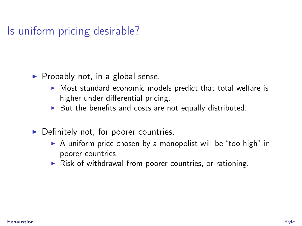Is uniform pricing desirable?

- $\blacktriangleright$  Probably not, in a global sense.
	- $\triangleright$  Most standard economic models predict that total welfare is higher under differential pricing.
	- $\triangleright$  But the benefits and costs are not equally distributed.
- $\triangleright$  Definitely not, for poorer countries.
	- $\triangleright$  A uniform price chosen by a monopolist will be "too high" in poorer countries.
	- $\triangleright$  Risk of withdrawal from poorer countries, or rationing.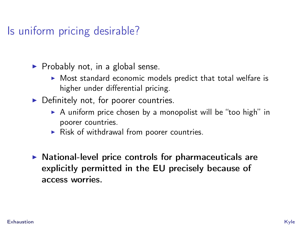# Is uniform pricing desirable?

- $\blacktriangleright$  Probably not, in a global sense.
	- $\triangleright$  Most standard economic models predict that total welfare is higher under differential pricing.
- $\triangleright$  Definitely not, for poorer countries.
	- $\triangleright$  A uniform price chosen by a monopolist will be "too high" in poorer countries.
	- $\triangleright$  Risk of withdrawal from poorer countries.
- $\triangleright$  National-level price controls for pharmaceuticals are explicitly permitted in the EU precisely because of access worries.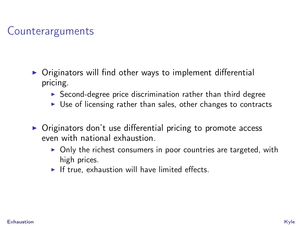# **Counterarguments**

- $\triangleright$  Originators will find other ways to implement differential pricing.
	- $\triangleright$  Second-degree price discrimination rather than third degree
	- $\triangleright$  Use of licensing rather than sales, other changes to contracts
- $\triangleright$  Originators don't use differential pricing to promote access even with national exhaustion.
	- $\triangleright$  Only the richest consumers in poor countries are targeted, with high prices.
	- $\blacktriangleright$  If true, exhaustion will have limited effects.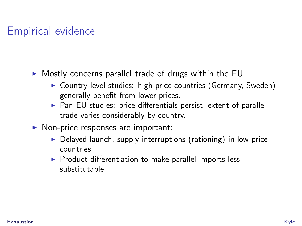# Empirical evidence

- $\triangleright$  Mostly concerns parallel trade of drugs within the EU.
	- ▶ Country-level studies: high-price countries (Germany, Sweden) generally benefit from lower prices.
	- $\triangleright$  Pan-EU studies: price differentials persist; extent of parallel trade varies considerably by country.
- $\triangleright$  Non-price responses are important:
	- $\triangleright$  Delayed launch, supply interruptions (rationing) in low-price countries.
	- $\triangleright$  Product differentiation to make parallel imports less substitutable.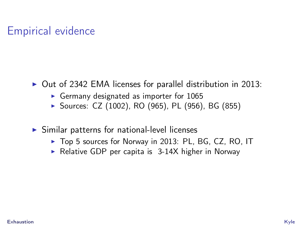# Empirical evidence

- $\triangleright$  Out of 2342 EMA licenses for parallel distribution in 2013:
	- Germany designated as importer for  $1065$
	- ▶ Sources: CZ (1002), RO (965), PL (956), BG (855)
- $\triangleright$  Similar patterns for national-level licenses
	- ▶ Top 5 sources for Norway in 2013: PL, BG, CZ, RO, IT
	- Relative GDP per capita is  $3-14X$  higher in Norway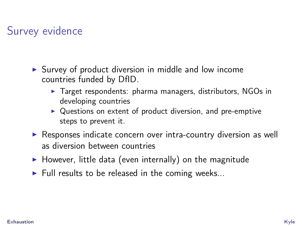# Survey evidence

- $\triangleright$  Survey of product diversion in middle and low income countries funded by DfID.
	- $\triangleright$  Target respondents: pharma managers, distributors, NGOs in developing countries
	- $\triangleright$  Questions on extent of product diversion, and pre-emptive steps to prevent it.
- $\triangleright$  Responses indicate concern over intra-country diversion as well as diversion between countries
- $\blacktriangleright$  However, little data (even internally) on the magnitude
- $\blacktriangleright$  Full results to be released in the coming weeks...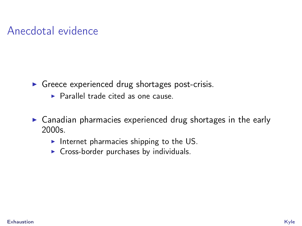# Anecdotal evidence

- $\triangleright$  Greece experienced drug shortages post-crisis.
	- $\blacktriangleright$  Parallel trade cited as one cause.
- $\triangleright$  Canadian pharmacies experienced drug shortages in the early 2000s.
	- Internet pharmacies shipping to the US.
	- $\triangleright$  Cross-border purchases by individuals.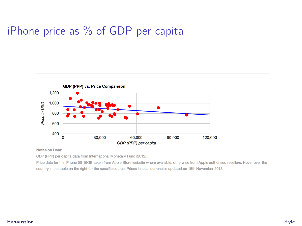# iPhone price as % of GDP per capita



Notes on Data:

GDP (PPP) per capita data from International Monetary Fund (2012).

Price data for the iPhone 5S 16GB taken from Apple Store website where available, otherwise from Apple authorised resellers. Hover over the country in the table on the right for the specific source. Prices in local currencies updated on 18th November 2013.

#### [Exhaustion](#page-0-0) Kyle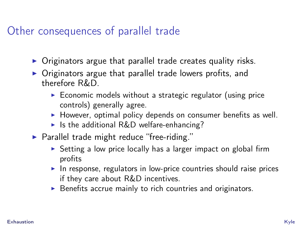### Other consequences of parallel trade

- $\triangleright$  Originators argue that parallel trade creates quality risks.
- $\triangleright$  Originators argue that parallel trade lowers profits, and therefore R&D.
	- $\triangleright$  Economic models without a strategic regulator (using price controls) generally agree.
	- $\blacktriangleright$  However, optimal policy depends on consumer benefits as well.
	- If Is the additional R&D welfare-enhancing?
- $\blacktriangleright$  Parallel trade might reduce "free-riding."
	- $\triangleright$  Setting a low price locally has a larger impact on global firm profits
	- $\blacktriangleright$  In response, regulators in low-price countries should raise prices if they care about R&D incentives.
	- $\triangleright$  Benefits accrue mainly to rich countries and originators.